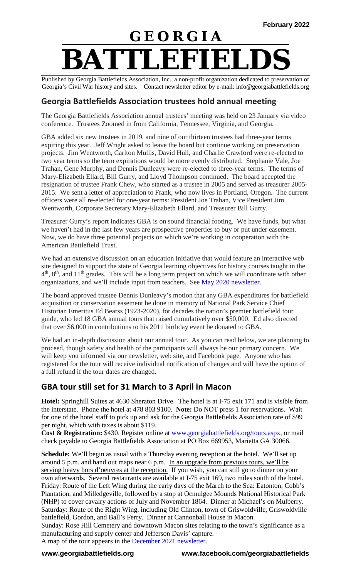# **G E O R G I A BATTLEFIELDS**

Published by Georgia Battlefields Association, Inc., a non-profit organization dedicated to preservation of Georgia's Civil War history and sites. Contact newsletter editor by e-mail: info@georgiabattlefields.org

### **Georgia Battlefields Association trustees hold annual meeting**

The Georgia Battlefields Association annual trustees' meeting was held on 23 January via video conference. Trustees Zoomed in from California, Tennessee, Virginia, and Georgia.

GBA added six new trustees in 2019, and nine of our thirteen trustees had three-year terms expiring this year. Jeff Wright asked to leave the board but continue working on preservation projects. Jim Wentworth, Carlton Mullis, David Hull, and Charlie Crawford were re-elected to two year terms so the term expirations would be more evenly distributed. Stephanie Vale, Joe Trahan, Gene Murphy, and Dennis Dunleavy were re-elected to three-year terms. The terms of Mary-Elizabeth Ellard, Bill Gurry, and Lloyd Thompson continued. The board accepted the resignation of trustee Frank Chew, who started as a trustee in 2005 and served as treasurer 2005- 2015. We sent a letter of appreciation to Frank, who now lives in Portland, Oregon. The current officers were all re-elected for one-year terms: President Joe Trahan, Vice President Jim Wentworth, Corporate Secretary Mary-Elizabeth Ellard, and Treasurer Bill Gurry.

Treasurer Gurry's report indicates GBA is on sound financial footing. We have funds, but what we haven't had in the last few years are prospective properties to buy or put under easement. Now, we do have three potential projects on which we're working in cooperation with the American Battlefield Trust.

We had an extensive discussion on an education initiative that would feature an interactive web site designed to support the state of Georgia learning objectives for history courses taught in the  $4<sup>th</sup>$ ,  $8<sup>th</sup>$ , and  $11<sup>th</sup>$  grades. This will be a long term project on which we will coordinate with other organizations, and we'll include input from teachers. See [May 2020 newsletter.](http://georgiabattlefields.org/pdf_files/GBAnews2005.pdf)

The board approved trustee Dennis Dunleavy's motion that any GBA expenditures for battlefield acquisition or conservation easement be done in memory of National Park Service Chief Historian Emeritus Ed Bearss (1923-2020), for decades the nation's premier battlefield tour guide, who led 18 GBA annual tours that raised cumulatively over \$50,000. Ed also directed that over \$6,000 in contributions to his 2011 birthday event be donated to GBA.

We had an in-depth discussion about our annual tour. As you can read below, we are planning to proceed, though safety and health of the participants will always be our primary concern. We will keep you informed via our newsletter, web site, and Facebook page. Anyone who has registered for the tour will receive individual notification of changes and will have the option of a full refund if the tour dates are changed.

### **GBA tour still set for 31 March to 3 April in Macon**

**Hotel:** Springhill Suites at 4630 Sheraton Drive. The hotel is at I-75 exit 171 and is visible from the interstate. Phone the hotel at 478 803 9100. **Note:** Do NOT press 1 for reservations. Wait for one of the hotel staff to pick up and ask for the Georgia Battlefields Association rate of \$99 per night, which with taxes is about \$119.

**Cost & Registration:** \$430. Register online at [www.georgiabattlefields.org/tours.aspx,](http://www.georgiabattlefields.org/tours.aspx) or mail check payable to Georgia Battlefields Association at PO Box 669953, Marietta GA 30066.

**Schedule:** We'll begin as usual with a Thursday evening reception at the hotel. We'll set up around 5 p.m. and hand out maps near 6 p.m. In an upgrade from previous tours, we'll be serving heavy hors d'oeuvres at the reception. If you wish, you can still go to dinner on your own afterwards. Several restaurants are available at I-75 exit 169, two miles south of the hotel. Friday: Route of the Left Wing during the early days of the March to the Sea: Eatonton, Cobb's Plantation, and Milledgeville, followed by a stop at Ocmulgee Mounds National Historical Park (NHP) to cover cavalry actions of July and November 1864. Dinner at Michael's on Mulberry. Saturday: Route of the Right Wing, including Old Clinton, town of Griswoldville, Griswoldville battlefield, Gordon, and Ball's Ferry. Dinner at Cannonball House in Macon.

Sunday: Rose Hill Cemetery and downtown Macon sites relating to the town's significance as a manufacturing and supply center and Jefferson Davis' capture.

A map of the tour appears in the [December 2021 newsletter.](http://georgiabattlefields.org/newsletters.aspx)